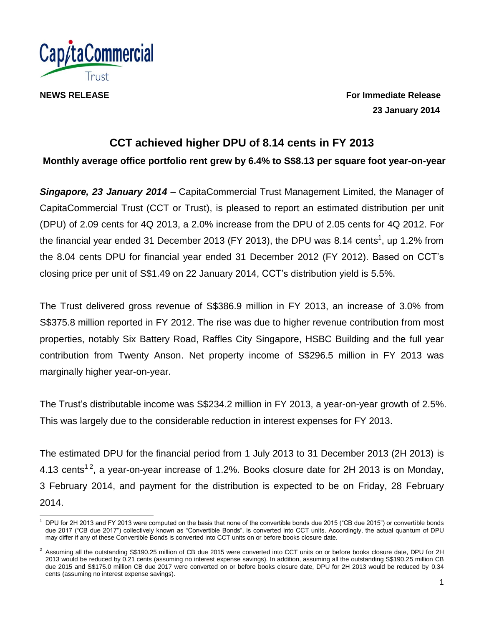

**NEWS RELEASE For Immediate Release 23 January 2014**

# **CCT achieved higher DPU of 8.14 cents in FY 2013**

**Monthly average office portfolio rent grew by 6.4% to S\$8.13 per square foot year-on-year**

*Singapore, 23 January 2014* – CapitaCommercial Trust Management Limited, the Manager of CapitaCommercial Trust (CCT or Trust), is pleased to report an estimated distribution per unit (DPU) of 2.09 cents for 4Q 2013, a 2.0% increase from the DPU of 2.05 cents for 4Q 2012. For the financial year ended 31 December 2013 (FY 2013), the DPU was 8.14 cents<sup>1</sup>, up 1.2% from the 8.04 cents DPU for financial year ended 31 December 2012 (FY 2012). Based on CCT's closing price per unit of S\$1.49 on 22 January 2014, CCT's distribution yield is 5.5%.

The Trust delivered gross revenue of S\$386.9 million in FY 2013, an increase of 3.0% from S\$375.8 million reported in FY 2012. The rise was due to higher revenue contribution from most properties, notably Six Battery Road, Raffles City Singapore, HSBC Building and the full year contribution from Twenty Anson. Net property income of S\$296.5 million in FY 2013 was marginally higher year-on-year.

The Trust's distributable income was S\$234.2 million in FY 2013, a year-on-year growth of 2.5%. This was largely due to the considerable reduction in interest expenses for FY 2013.

The estimated DPU for the financial period from 1 July 2013 to 31 December 2013 (2H 2013) is 4.13 cents<sup>12</sup>, a year-on-year increase of 1.2%. Books closure date for 2H 2013 is on Monday, 3 February 2014, and payment for the distribution is expected to be on Friday, 28 February 2014.

l <sup>1</sup> DPU for 2H 2013 and FY 2013 were computed on the basis that none of the convertible bonds due 2015 ("CB due 2015") or convertible bonds due 2017 ("CB due 2017") collectively known as "Convertible Bonds", is converted into CCT units. Accordingly, the actual quantum of DPU may differ if any of these Convertible Bonds is converted into CCT units on or before books closure date.

 $2$  Assuming all the outstanding S\$190.25 million of CB due 2015 were converted into CCT units on or before books closure date, DPU for 2H 2013 would be reduced by 0.21 cents (assuming no interest expense savings). In addition, assuming all the outstanding S\$190.25 million CB due 2015 and S\$175.0 million CB due 2017 were converted on or before books closure date, DPU for 2H 2013 would be reduced by 0.34 cents (assuming no interest expense savings).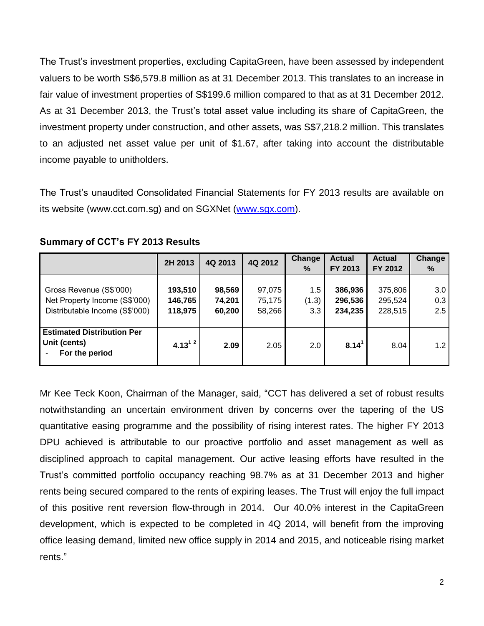The Trust's investment properties, excluding CapitaGreen, have been assessed by independent valuers to be worth S\$6,579.8 million as at 31 December 2013. This translates to an increase in fair value of investment properties of S\$199.6 million compared to that as at 31 December 2012. As at 31 December 2013, the Trust's total asset value including its share of CapitaGreen, the investment property under construction, and other assets, was S\$7,218.2 million. This translates to an adjusted net asset value per unit of \$1.67, after taking into account the distributable income payable to unitholders.

The Trust's unaudited Consolidated Financial Statements for FY 2013 results are available on its website (www.cct.com.sg) and on SGXNet [\(www.sgx.com\)](http://www.sgx.com/).

|                                                                                            | 2H 2013                       | 4Q 2013                    | 4Q 2012                    | Change<br>$\%$      | <b>Actual</b><br>FY 2013      | <b>Actual</b><br>FY 2012      | Change<br>%       |
|--------------------------------------------------------------------------------------------|-------------------------------|----------------------------|----------------------------|---------------------|-------------------------------|-------------------------------|-------------------|
| Gross Revenue (S\$'000)<br>Net Property Income (S\$'000)<br>Distributable Income (S\$'000) | 193,510<br>146,765<br>118,975 | 98,569<br>74,201<br>60,200 | 97,075<br>75,175<br>58,266 | 1.5<br>(1.3)<br>3.3 | 386,936<br>296,536<br>234,235 | 375,806<br>295,524<br>228,515 | 3.0<br>0.3<br>2.5 |
| <b>Estimated Distribution Per</b><br>Unit (cents)<br>For the period                        | $4.13^{12}$                   | 2.09                       | 2.05                       | 2.0                 | 8.14 <sup>1</sup>             | 8.04                          | 1.2               |

## **Summary of CCT's FY 2013 Results**

Mr Kee Teck Koon, Chairman of the Manager, said, "CCT has delivered a set of robust results notwithstanding an uncertain environment driven by concerns over the tapering of the US quantitative easing programme and the possibility of rising interest rates. The higher FY 2013 DPU achieved is attributable to our proactive portfolio and asset management as well as disciplined approach to capital management. Our active leasing efforts have resulted in the Trust's committed portfolio occupancy reaching 98.7% as at 31 December 2013 and higher rents being secured compared to the rents of expiring leases. The Trust will enjoy the full impact of this positive rent reversion flow-through in 2014. Our 40.0% interest in the CapitaGreen development, which is expected to be completed in 4Q 2014, will benefit from the improving office leasing demand, limited new office supply in 2014 and 2015, and noticeable rising market rents."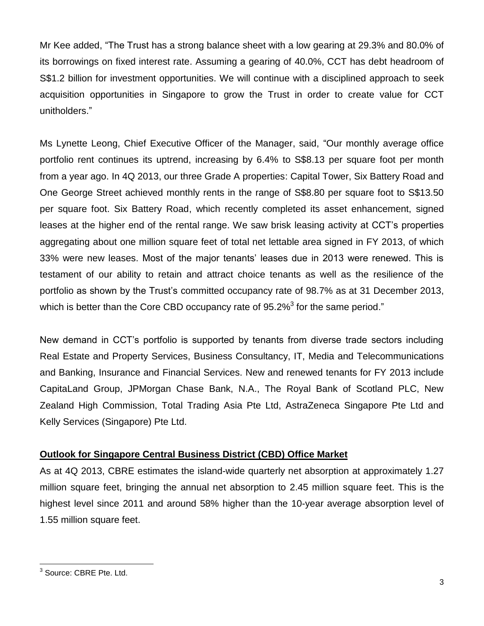Mr Kee added, "The Trust has a strong balance sheet with a low gearing at 29.3% and 80.0% of its borrowings on fixed interest rate. Assuming a gearing of 40.0%, CCT has debt headroom of S\$1.2 billion for investment opportunities. We will continue with a disciplined approach to seek acquisition opportunities in Singapore to grow the Trust in order to create value for CCT unitholders."

Ms Lynette Leong, Chief Executive Officer of the Manager, said, "Our monthly average office portfolio rent continues its uptrend, increasing by 6.4% to S\$8.13 per square foot per month from a year ago. In 4Q 2013, our three Grade A properties: Capital Tower, Six Battery Road and One George Street achieved monthly rents in the range of S\$8.80 per square foot to S\$13.50 per square foot. Six Battery Road, which recently completed its asset enhancement, signed leases at the higher end of the rental range. We saw brisk leasing activity at CCT's properties aggregating about one million square feet of total net lettable area signed in FY 2013, of which 33% were new leases. Most of the major tenants' leases due in 2013 were renewed. This is testament of our ability to retain and attract choice tenants as well as the resilience of the portfolio as shown by the Trust's committed occupancy rate of 98.7% as at 31 December 2013, which is better than the Core CBD occupancy rate of  $95.2\%$ <sup>3</sup> for the same period."

New demand in CCT's portfolio is supported by tenants from diverse trade sectors including Real Estate and Property Services, Business Consultancy, IT, Media and Telecommunications and Banking, Insurance and Financial Services. New and renewed tenants for FY 2013 include CapitaLand Group, JPMorgan Chase Bank, N.A., The Royal Bank of Scotland PLC, New Zealand High Commission, Total Trading Asia Pte Ltd, AstraZeneca Singapore Pte Ltd and Kelly Services (Singapore) Pte Ltd.

# **Outlook for Singapore Central Business District (CBD) Office Market**

As at 4Q 2013, CBRE estimates the island-wide quarterly net absorption at approximately 1.27 million square feet, bringing the annual net absorption to 2.45 million square feet. This is the highest level since 2011 and around 58% higher than the 10-year average absorption level of 1.55 million square feet.

l

<sup>&</sup>lt;sup>3</sup> Source: CBRE Pte. Ltd.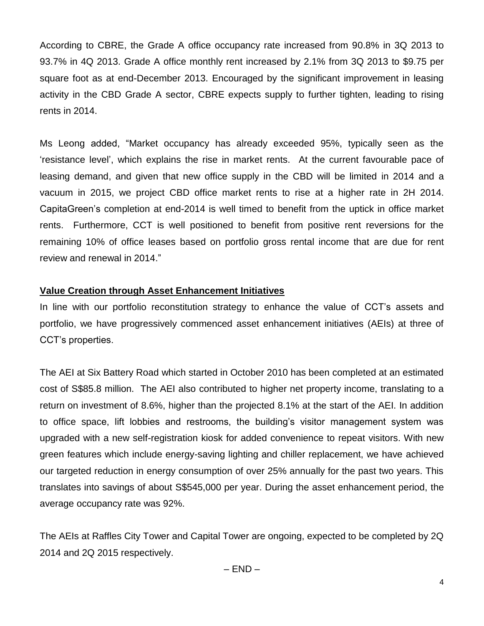According to CBRE, the Grade A office occupancy rate increased from 90.8% in 3Q 2013 to 93.7% in 4Q 2013. Grade A office monthly rent increased by 2.1% from 3Q 2013 to \$9.75 per square foot as at end-December 2013. Encouraged by the significant improvement in leasing activity in the CBD Grade A sector, CBRE expects supply to further tighten, leading to rising rents in 2014.

Ms Leong added, "Market occupancy has already exceeded 95%, typically seen as the 'resistance level', which explains the rise in market rents. At the current favourable pace of leasing demand, and given that new office supply in the CBD will be limited in 2014 and a vacuum in 2015, we project CBD office market rents to rise at a higher rate in 2H 2014. CapitaGreen's completion at end-2014 is well timed to benefit from the uptick in office market rents. Furthermore, CCT is well positioned to benefit from positive rent reversions for the remaining 10% of office leases based on portfolio gross rental income that are due for rent review and renewal in 2014."

# **Value Creation through Asset Enhancement Initiatives**

In line with our portfolio reconstitution strategy to enhance the value of CCT's assets and portfolio, we have progressively commenced asset enhancement initiatives (AEIs) at three of CCT's properties.

The AEI at Six Battery Road which started in October 2010 has been completed at an estimated cost of S\$85.8 million. The AEI also contributed to higher net property income, translating to a return on investment of 8.6%, higher than the projected 8.1% at the start of the AEI. In addition to office space, lift lobbies and restrooms, the building's visitor management system was upgraded with a new self-registration kiosk for added convenience to repeat visitors. With new green features which include energy-saving lighting and chiller replacement, we have achieved our targeted reduction in energy consumption of over 25% annually for the past two years. This translates into savings of about S\$545,000 per year. During the asset enhancement period, the average occupancy rate was 92%.

The AEIs at Raffles City Tower and Capital Tower are ongoing, expected to be completed by 2Q 2014 and 2Q 2015 respectively.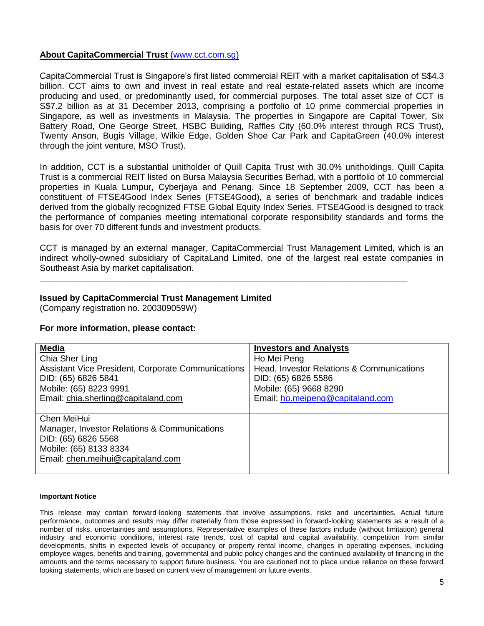## **About CapitaCommercial Trust** (www.cct.com.sg)

CapitaCommercial Trust is Singapore's first listed commercial REIT with a market capitalisation of S\$4.3 billion. CCT aims to own and invest in real estate and real estate-related assets which are income producing and used, or predominantly used, for commercial purposes. The total asset size of CCT is S\$7.2 billion as at 31 December 2013, comprising a portfolio of 10 prime commercial properties in Singapore, as well as investments in Malaysia. The properties in Singapore are Capital Tower, Six Battery Road, One George Street, HSBC Building, Raffles City (60.0% interest through RCS Trust), Twenty Anson, Bugis Village, Wilkie Edge, Golden Shoe Car Park and CapitaGreen (40.0% interest through the joint venture, MSO Trust).

In addition, CCT is a substantial unitholder of Quill Capita Trust with 30.0% unitholdings. Quill Capita Trust is a commercial REIT listed on Bursa Malaysia Securities Berhad, with a portfolio of 10 commercial properties in Kuala Lumpur, Cyberjaya and Penang. Since 18 September 2009, CCT has been a constituent of FTSE4Good Index Series (FTSE4Good), a series of benchmark and tradable indices derived from the globally recognized FTSE Global Equity Index Series. FTSE4Good is designed to track the performance of companies meeting international corporate responsibility standards and forms the basis for over 70 different funds and investment products.

CCT is managed by an external manager, CapitaCommercial Trust Management Limited, which is an indirect wholly-owned subsidiary of CapitaLand Limited, one of the largest real estate companies in Southeast Asia by market capitalisation.

**\_\_\_\_\_\_\_\_\_\_\_\_\_\_\_\_\_\_\_\_\_\_\_\_\_\_\_\_\_\_\_\_\_\_\_\_\_\_\_\_\_\_\_\_\_\_\_\_\_\_\_\_\_\_\_\_\_\_\_\_\_\_\_\_\_\_\_\_\_\_\_\_\_\_\_\_**

### **Issued by CapitaCommercial Trust Management Limited**

(Company registration no. 200309059W)

### **For more information, please contact:**

| <b>Media</b>                                       | <b>Investors and Analysts</b>             |
|----------------------------------------------------|-------------------------------------------|
| Chia Sher Ling                                     | Ho Mei Peng                               |
| Assistant Vice President, Corporate Communications | Head, Investor Relations & Communications |
| DID: (65) 6826 5841                                | DID: (65) 6826 5586                       |
| Mobile: (65) 8223 9991                             | Mobile: (65) 9668 8290                    |
| Email: chia.sherling@capitaland.com                | Email: ho.meipeng@capitaland.com          |
|                                                    |                                           |
| Chen MeiHui                                        |                                           |
| Manager, Investor Relations & Communications       |                                           |
| DID: (65) 6826 5568                                |                                           |
| Mobile: (65) 8133 8334                             |                                           |
| Email: chen.meihui@capitaland.com                  |                                           |
|                                                    |                                           |

#### **Important Notice**

This release may contain forward-looking statements that involve assumptions, risks and uncertainties. Actual future performance, outcomes and results may differ materially from those expressed in forward-looking statements as a result of a number of risks, uncertainties and assumptions. Representative examples of these factors include (without limitation) general industry and economic conditions, interest rate trends, cost of capital and capital availability, competition from similar developments, shifts in expected levels of occupancy or property rental income, changes in operating expenses, including employee wages, benefits and training, governmental and public policy changes and the continued availability of financing in the amounts and the terms necessary to support future business. You are cautioned not to place undue reliance on these forward looking statements, which are based on current view of management on future events.